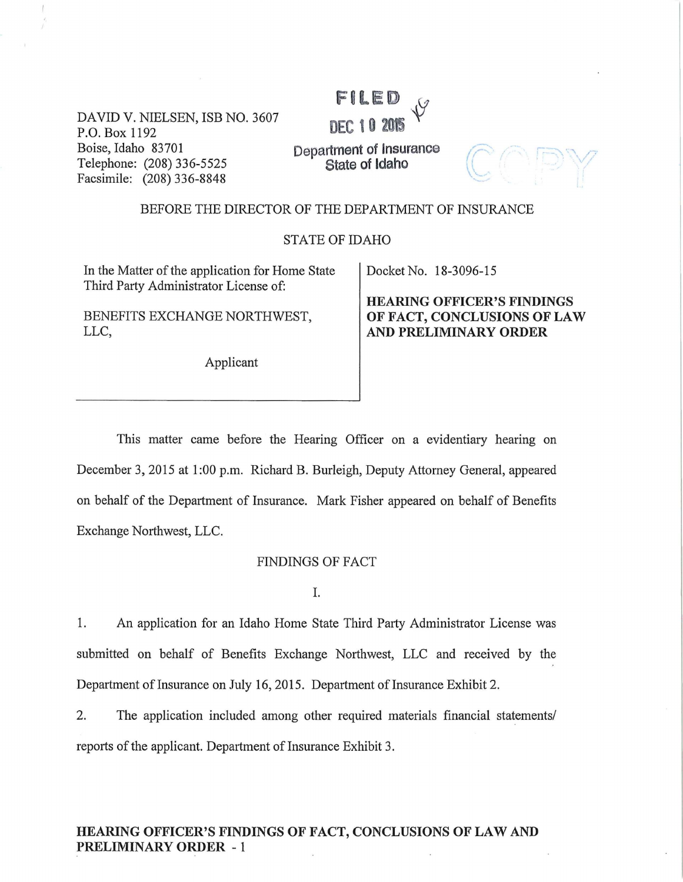DAVID V. NIELSEN, ISB NO. 3607 P.O. Box 1192 Boise, Idaho 83701 Telephone: (208) 336-5525 Facsimile: (208) 336-8848

**DEC 1 0 2015**  $\sqrt{2}$ <br>Department of Insurance  $\sqrt{2}$ **State of Idaho** 

FILED

#### BEFORE THE DIRECTOR OF THE DEPARTMENT OF INSURANCE

#### STATE OF IDAHO

In the Matter of the application for Home State Third Party Administrator License of:

BENEFITS EXCHANGE NORTHWEST, LLC,

Applicant

#### Docket No. 18-3096-15

**HEARING OFFICER'S FINDINGS OF FACT, CONCLUSIONS OF LAW AND PRELIMINARY ORDER** 

This matter came before the Hearing Officer on a evidentiary hearing on December 3, 2015 at 1:00 p.m. Richard B. Burleigh, Deputy Attorney General, appeared on behalf of the Department of Insurance. Mark Fisher appeared on behalf of Benefits Exchange Northwest, LLC.

#### FINDINGS OF FACT

I.

1. An application for an Idaho Home State Third Party Administrator License was submitted on behalf of Benefits Exchange Northwest, LLC and received by the Department of Insurance on July 16,2015. Department of Insurance Exhibit 2.

2. The application included among other required materials financial statements/ reports of the applicant. Department of Insurance Exhibit 3.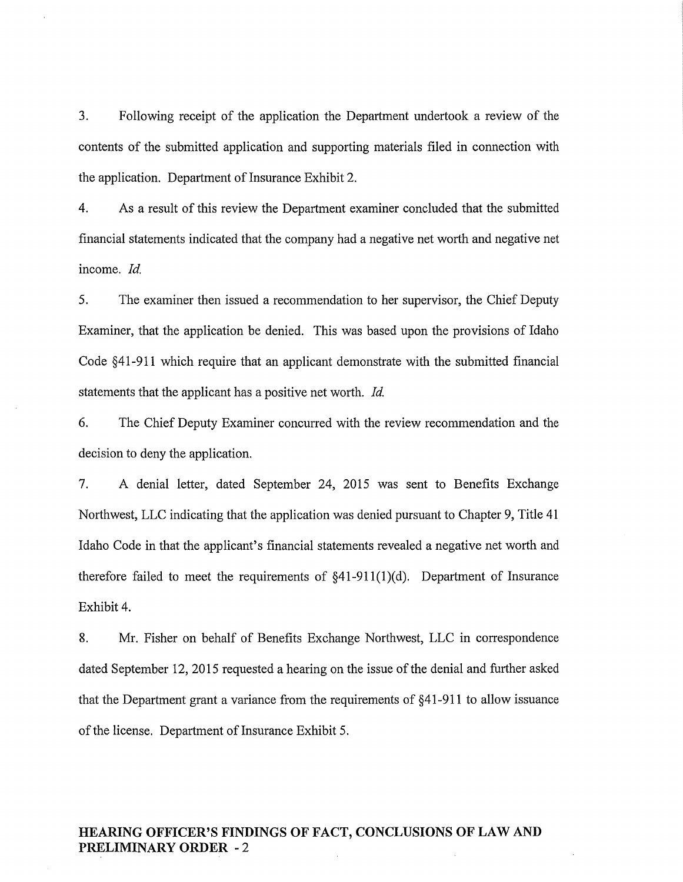3. Following receipt of the application the Department undertook a review of the contents of the submitted application and supporting materials filed in connection with the application. Department of Insurance Exhibit 2.

4. As a result of this review the Department examiner concluded that the submitted financial statements indicated that the company had a negative net worth and negative net income. *Id.* 

5. The examiner then issued a recommendation to her supervisor, the Chief Deputy Examiner, that the application be denied. This was based upon the provisions of Idaho Code §41-911 which require that an applicant demonstrate with the submitted financial statements that the applicant has a positive net worth. *Id.* 

6. The Chief Deputy Examiner concurred with the review recommendation and the decision to deny the application.

7. A denial letter, dated September 24, 2015 was sent to Benefits Exchange Northwest, LLC indicating that the application was denied pursuant to Chapter 9, Title 41 Idaho Code in that the applicant's financial statements revealed a negative net worth and therefore failed to meet the requirements of  $§41-911(1)(d)$ . Department of Insurance Exhibit 4.

8. Mr. Fisher on behalf of Benefits Exchange Northwest, LLC in correspondence dated September 12, 2015 requested a hearing on the issue of the denial and further asked that the Department grant a variance from the requirements of §41-911 to allow issuance of the license. Department of Insurance Exhibit 5.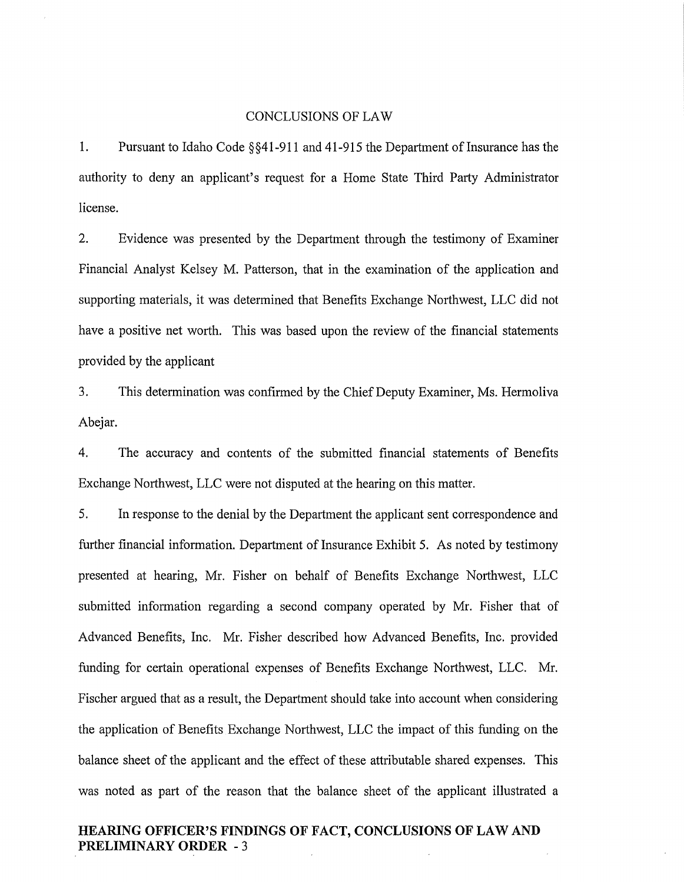#### CONCLUSIONS OF LAW

1. Pursuant to Idaho Code §§41-911 and 41-915 the Department of Insurance has the authority to deny an applicant's request for a Home State Third Party Administrator license.

2. Evidence was presented by the Department through the testimony of Examiner Financial Analyst Kelsey M. Patterson, that in the examination of the application and supporting materials, it was determined that Benefits Exchange Northwest, LLC did not have a positive net worth. This was based upon the review of the financial statements provided by the applicant

3. This determination was confirmed by the Chief Deputy Examiner, Ms. Hermoliva Abejar.

4. The accuracy and contents of the submitted financial statements of Benefits Exchange Northwest, LLC were not disputed at the hearing on this matter.

5. In response to the denial by the Department the applicant sent correspondence and further financial information. Department of Insurance Exhibit 5. As noted by testimony presented at hearing, Mr. Fisher on behalf of Benefits Exchange Northwest, LLC submitted information regarding a second company operated by Mr. Fisher that of Advanced Benefits, Inc. Mr. Fisher described how Advanced Benefits, Inc. provided funding for certain operational expenses of Benefits Exchange Northwest, LLC. Mr. Fischer argued that as a result, the Department should take into account when considering the application of Benefits Exchange Northwest, LLC the impact of this funding on the balance sheet of the applicant and the effect of these attributable shared expenses. This was noted as part of the reason that the balance sheet of the applicant illustrated a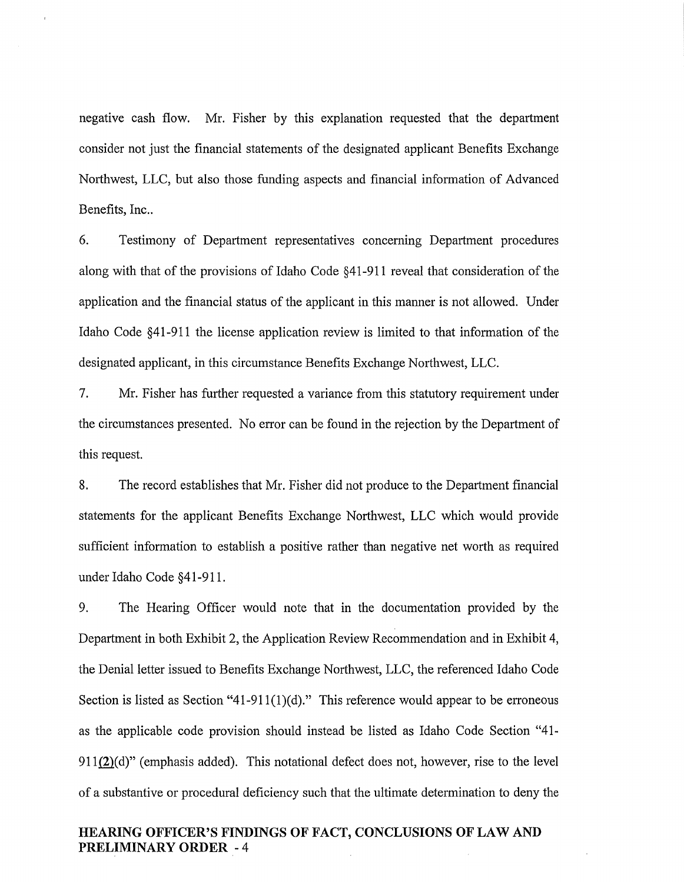negative cash flow. Mr. Fisher by this explanation requested that the department consider not just the financial statements of the designated applicant Benefits Exchange Northwest, LLC, but also those funding aspects and financial information of Advanced Benefits, Inc..

6. Testimony of Department representatives concerning Department procedures along with that of the provisions of Idaho Code §41-911 reveal that consideration of the application and the financial status of the applicant in this manner is not allowed. Under Idaho Code §41-911 the license application review is limited to that information of the designated applicant, in this circumstance Benefits Exchange Northwest, LLC.

7. Mr. Fisher has further requested a variance from this statutory requirement under the circumstances presented. No error can be found in the rejection by the Department of this request.

8. The record establishes that Mr. Fisher did not produce to the Department financial statements for the applicant Benefits Exchange Northwest, LLC which would provide sufficient information to establish a positive rather than negative net worth as required under Idaho Code §41-911.

9. The Hearing Officer would note that in the documentation provided by the Department in both Exhibit 2, the Application Review Recommendation and in Exhibit 4, the Denial letter issued to Benefits Exchange Northwest, LLC, the referenced Idaho Code Section is listed as Section "41-911(1)(d)." This reference would appear to be erroneous as the applicable code provision should instead be listed as Idaho Code Section "41-  $911(2)(d)$ " (emphasis added). This notational defect does not, however, rise to the level of a substantive or procedural deficiency such that the ultimate determination to deny the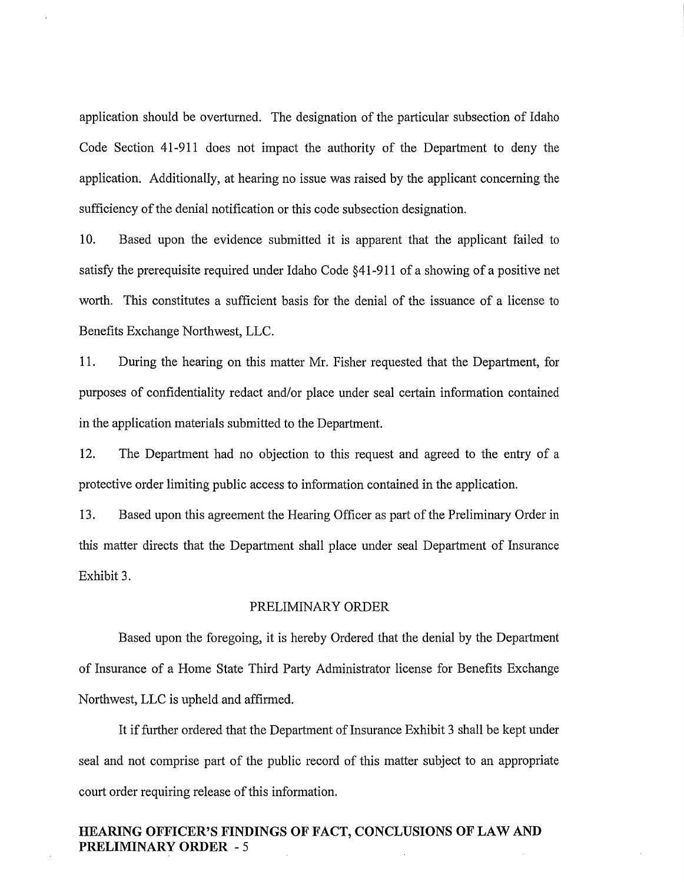application should be overturned. The designation of the particular subsection of Idaho Code Section 41-911 does not impact the authority of the Department to deny the application. Additionally, at hearing no issue was raised by the applicant concerning the sufficiency of the denial notification or this code subsection designation.

10. Based upon the evidence submitted it is apparent that the applicant failed to satisfy the prerequisite required under Idaho Code §41-911 of a showing of a positive net worth. This constitutes a sufficient basis for the denial of the issuance of a license to Benefits Exchange Northwest, LLC.

11. During the hearing on this matter Mr. Fisher requested that the Department, for purposes of confidentiality redact and/or place under seal certain information contained in the application materials submitted to the Department.

12. The Department had no objection to this request and agreed to the entry of a protective order limiting public access to information contained in the application.

13. Based upon this agreement the Hearing Officer as part of the Preliminary Order in this matter directs that the Department shall place under seal Department of Insurance Exhibit 3.

## PRELIMINARY ORDER

Based upon the foregoing, it is hereby Ordered that the denial by the Department of Insurance of a Home State Third Party Administrator license for Benefits Exchange Northwest, LLC is upheld and affirmed.

It if further ordered that the Department of Insurance Exhibit 3 shall be kept under seal and not comprise part of the public record of this matter subject to an appropriate court order requiring release of this information.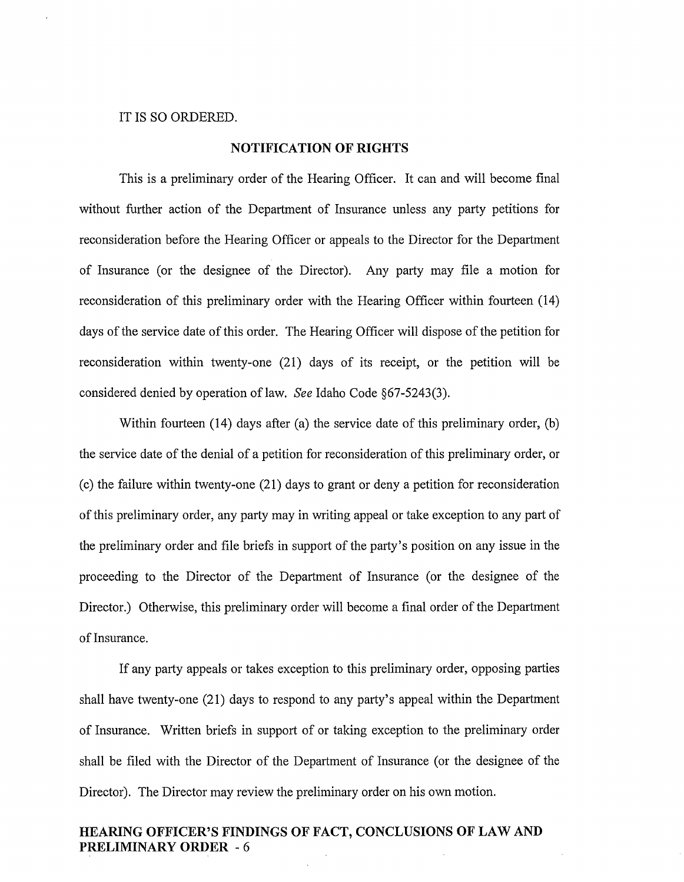#### IT IS SO ORDERED.

## **NOTIFICATION OF RIGHTS**

This is a preliminary order of the Hearing Officer. It can and will become final without further action of the Department of Insurance unless any party petitions for reconsideration before the Hearing Officer or appeals to the Director for the Department of Insurance (or the designee of the Director). Any party may file a motion for reconsideration of this preliminary order with the Hearing Officer within fourteen (14) days of the service date of this order. The Hearing Officer will dispose of the petition for reconsideration within twenty-one (21) days of its receipt, or the petition will be considered denied by operation of law. *See* Idaho Code §67-5243(3).

Within fourteen (14) days after (a) the service date of this preliminary order, (b) the service date of the denial of a petition for reconsideration of this preliminary order, or ( c) the failure within twenty-one (21) days to grant or deny a petition for reconsideration of this preliminary order, any party may in writing appeal or take exception to any part of the preliminary order and file briefs in support of the party's position on any issue in the proceeding to the Director of the Department of Insurance (or the designee of the Director.) Otherwise, this preliminary order will become a final order of the Department of Insurance.

If any party appeals or takes exception to this preliminary order, opposing parties shall have twenty-one (21) days to respond to any party's appeal within the Department of Insurance. Written briefs in support of or taking exception to the preliminary order shall be filed with the Director of the Department of Insurance (or the designee of the Director). The Director may review the preliminary order on his own motion.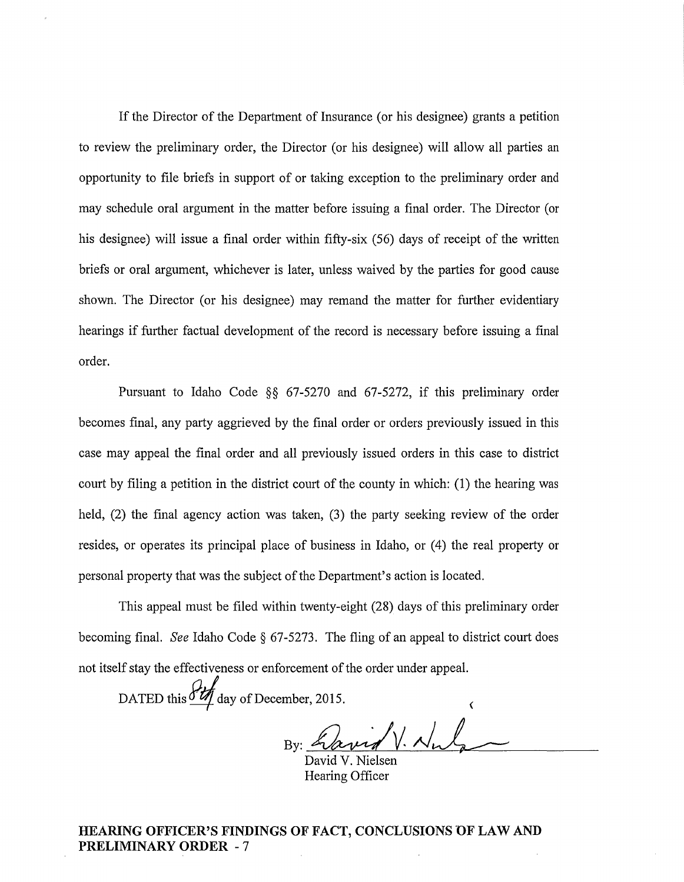If the Director of the Department of Insurance (or his designee) grants a petition to review the preliminary order, the Director (or his designee) will allow all parties an opportunity to file briefs in support of or taking exception to the preliminary order and may schedule oral argument in the matter before issuing a final order. The Director (or his designee) will issue a final order within fifty-six (56) days of receipt of the written briefs or oral argument, whichever is later, unless waived by the parties for good cause shown. The Director (or his designee) may remand the matter for further evidentiary hearings if further factual development of the record is necessary before issuing a final order.

Pursuant to Idaho Code §§ 67-5270 and 67-5272, if this preliminary order becomes final, any party aggrieved by the final order or orders previously issued in this case may appeal the final order and all previously issued orders in this case to district court by filing a petition in the district court of the county in which: (1) the hearing was held, (2) the final agency action was taken, (3) the party seeking review of the order resides, or operates its principal place of business in Idaho, or (4) the real property or personal property that was the subject of the Department's action is located.

This appeal must be filed within twenty-eight (28) days of this preliminary order becoming final. *See* Idaho Code § 67-5273. The fling of an appeal to district court does not itself stay the effectiveness or enforcement of the order under appeal.

DATED this  $\frac{\partial u}{\partial x}$  day of December, 2015.

By: havid V. Nule

Hearing Officer